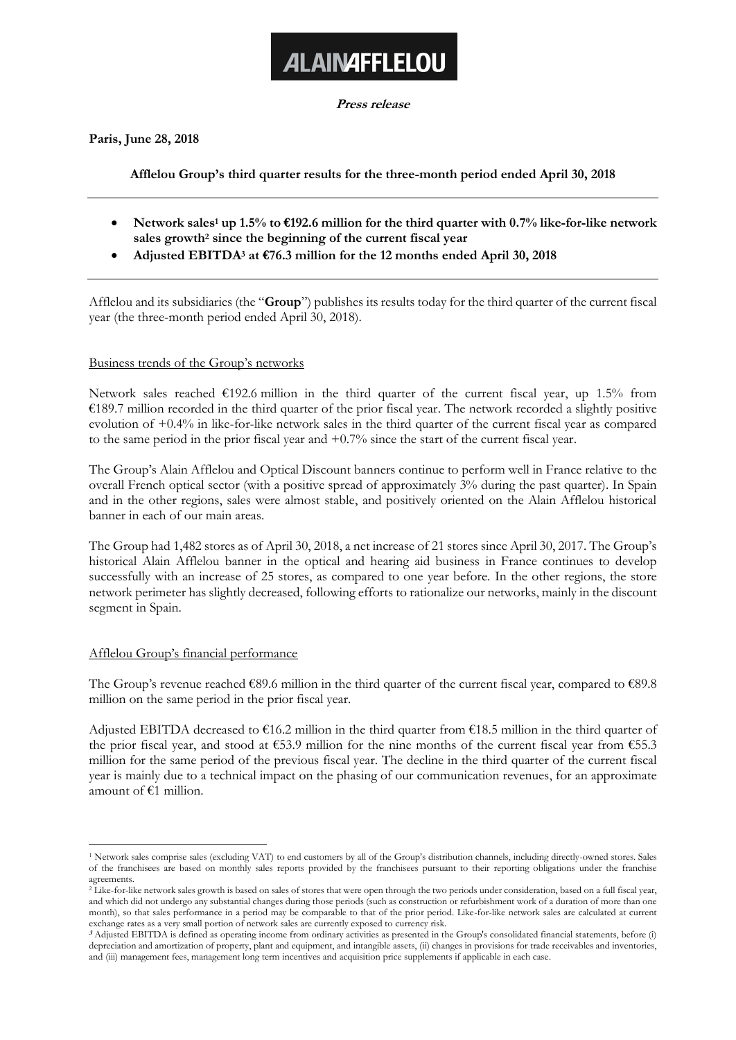# **ALAINAFFLELOU**

**Press release**

**Paris, June 28, 2018**

## **Afflelou Group's third quarter results for the three-month period ended April 30, 2018**

- **Network sales<sup>1</sup> up 1.5% to €192.6 million for the third quarter with 0.7% like-for-like network sales growth<sup>2</sup> since the beginning of the current fiscal year**
- **Adjusted EBITDA<sup>3</sup> at €76.3 million for the 12 months ended April 30, 2018**

Afflelou and its subsidiaries (the "**Group**") publishes its results today for the third quarter of the current fiscal year (the three-month period ended April 30, 2018).

## Business trends of the Group's networks

Network sales reached  $\epsilon$ 192.6 million in the third quarter of the current fiscal year, up 1.5% from  $€189.7$  million recorded in the third quarter of the prior fiscal year. The network recorded a slightly positive evolution of +0.4% in like-for-like network sales in the third quarter of the current fiscal year as compared to the same period in the prior fiscal year and +0.7% since the start of the current fiscal year.

The Group's Alain Afflelou and Optical Discount banners continue to perform well in France relative to the overall French optical sector (with a positive spread of approximately 3% during the past quarter). In Spain and in the other regions, sales were almost stable, and positively oriented on the Alain Afflelou historical banner in each of our main areas.

The Group had 1,482 stores as of April 30, 2018, a net increase of 21 stores since April 30, 2017. The Group's historical Alain Afflelou banner in the optical and hearing aid business in France continues to develop successfully with an increase of 25 stores, as compared to one year before. In the other regions, the store network perimeter has slightly decreased, following efforts to rationalize our networks, mainly in the discount segment in Spain.

## Afflelou Group's financial performance

The Group's revenue reached  $€89.6$  million in the third quarter of the current fiscal year, compared to  $€89.8$ million on the same period in the prior fiscal year.

Adjusted EBITDA decreased to €16.2 million in the third quarter from €18.5 million in the third quarter of the prior fiscal year, and stood at  $€53.9$  million for the nine months of the current fiscal year from  $€55.3$ million for the same period of the previous fiscal year. The decline in the third quarter of the current fiscal year is mainly due to a technical impact on the phasing of our communication revenues, for an approximate amount of €1 million.

<sup>1</sup> <sup>1</sup> Network sales comprise sales (excluding VAT) to end customers by all of the Group's distribution channels, including directly-owned stores. Sales of the franchisees are based on monthly sales reports provided by the franchisees pursuant to their reporting obligations under the franchise agreements.

<sup>&</sup>lt;sup>2</sup> Like-for-like network sales growth is based on sales of stores that were open through the two periods under consideration, based on a full fiscal year, and which did not undergo any substantial changes during those periods (such as construction or refurbishment work of a duration of more than one month), so that sales performance in a period may be comparable to that of the prior period. Like-for-like network sales are calculated at current exchange rates as a very small portion of network sales are currently exposed to currency risk.

**<sup>3</sup>** Adjusted EBITDA is defined as operating income from ordinary activities as presented in the Group's consolidated financial statements, before (i) depreciation and amortization of property, plant and equipment, and intangible assets, (ii) changes in provisions for trade receivables and inventories, and (iii) management fees, management long term incentives and acquisition price supplements if applicable in each case.